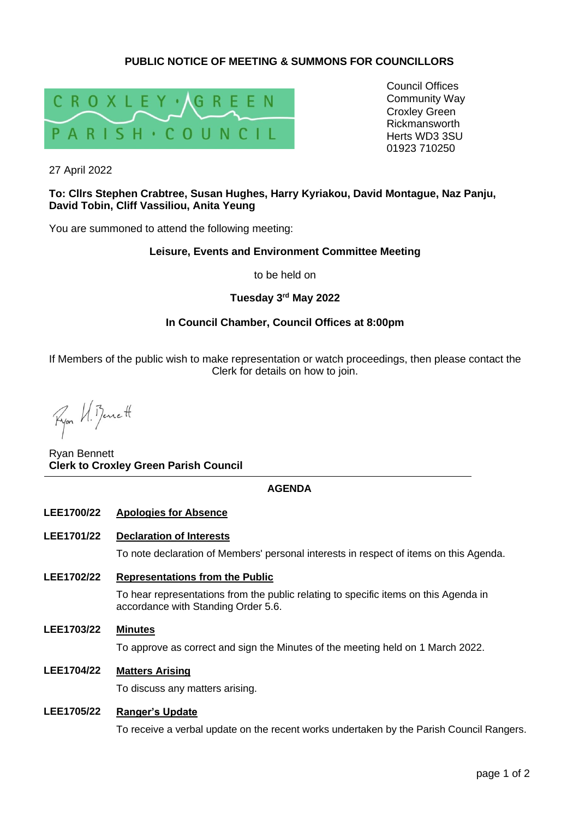# **PUBLIC NOTICE OF MEETING & SUMMONS FOR COUNCILLORS**



Council Offices Community Way Croxley Green Rickmansworth Herts WD3 3SU 01923 710250

27 April 2022

### **To: Cllrs Stephen Crabtree, Susan Hughes, Harry Kyriakou, David Montague, Naz Panju, David Tobin, Cliff Vassiliou, Anita Yeung**

You are summoned to attend the following meeting:

### **Leisure, Events and Environment Committee Meeting**

to be held on

# **Tuesday 3 rd May 2022**

# **In Council Chamber, Council Offices at 8:00pm**

If Members of the public wish to make representation or watch proceedings, then please contact the Clerk for details on how to join.

Ryon U. Benett

Ryan Bennett **Clerk to Croxley Green Parish Council**

### **AGENDA**

#### **LEE1700/22 Apologies for Absence**

**LEE1701/22 Declaration of Interests**

To note declaration of Members' personal interests in respect of items on this Agenda.

- **LEE1702/22 Representations from the Public** To hear representations from the public relating to specific items on this Agenda in accordance with Standing Order 5.6.
- **LEE1703/22 Minutes**

To approve as correct and sign the Minutes of the meeting held on 1 March 2022.

**LEE1704/22 Matters Arising**

To discuss any matters arising.

## **LEE1705/22 Ranger's Update**

To receive a verbal update on the recent works undertaken by the Parish Council Rangers.